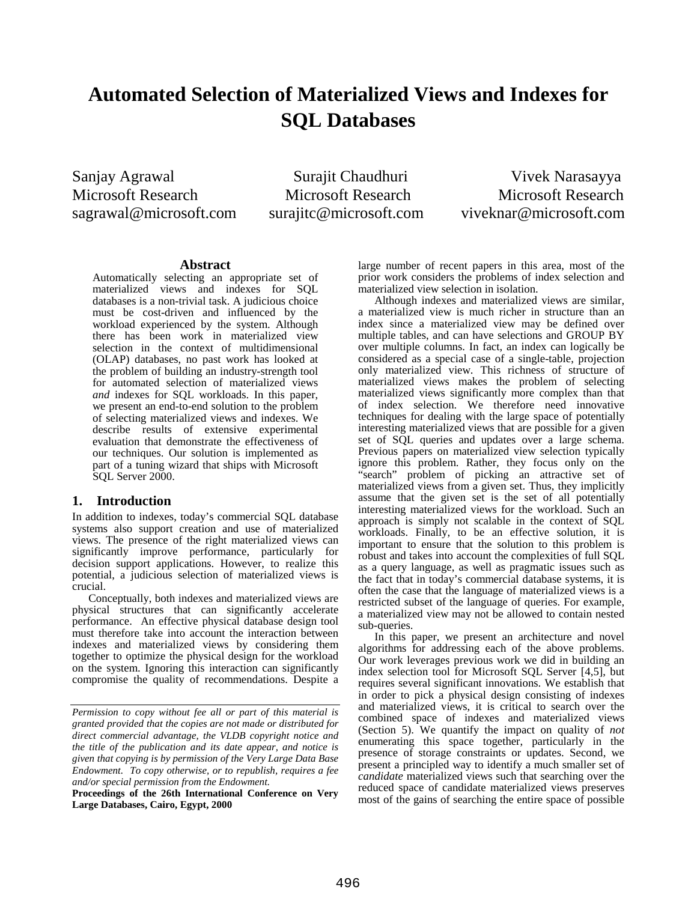# **Automated Selection of Materialized Views and Indexes for SQL Databases**

Sanjay Agrawal Surajit Chaudhuri Vivek Narasayya Microsoft Research Microsoft Research Microsoft Research sagrawal@microsoft.com surajitc@microsoft.com viveknar@microsoft.com

#### **Abstract**

Automatically selecting an appropriate set of materialized views and indexes for SQL databases is a non-trivial task. A judicious choice must be cost-driven and influenced by the workload experienced by the system. Although there has been work in materialized view selection in the context of multidimensional (OLAP) databases, no past work has looked at the problem of building an industry-strength tool for automated selection of materialized views *and* indexes for SQL workloads. In this paper, we present an end-to-end solution to the problem of selecting materialized views and indexes. We describe results of extensive experimental evaluation that demonstrate the effectiveness of our techniques. Our solution is implemented as part of a tuning wizard that ships with Microsoft SQL Server 2000.

# **1. Introduction**

In addition to indexes, today's commercial SQL database systems also support creation and use of materialized views. The presence of the right materialized views can significantly improve performance, particularly for decision support applications. However, to realize this potential, a judicious selection of materialized views is crucial.

Conceptually, both indexes and materialized views are physical structures that can significantly accelerate performance. An effective physical database design tool must therefore take into account the interaction between indexes and materialized views by considering them together to optimize the physical design for the workload on the system. Ignoring this interaction can significantly compromise the quality of recommendations. Despite a

**Proceedings of the 26th International Conference on Very Large Databases, Cairo, Egypt, 2000** 

large number of recent papers in this area, most of the prior work considers the problems of index selection and materialized view selection in isolation.

Although indexes and materialized views are similar, a materialized view is much richer in structure than an index since a materialized view may be defined over multiple tables, and can have selections and GROUP BY over multiple columns. In fact, an index can logically be considered as a special case of a single-table, projection only materialized view. This richness of structure of materialized views makes the problem of selecting materialized views significantly more complex than that of index selection. We therefore need innovative techniques for dealing with the large space of potentially interesting materialized views that are possible for a given set of SQL queries and updates over a large schema. Previous papers on materialized view selection typically ignore this problem. Rather, they focus only on the "search" problem of picking an attractive set of materialized views from a given set. Thus, they implicitly assume that the given set is the set of all potentially interesting materialized views for the workload. Such an approach is simply not scalable in the context of SQL workloads. Finally, to be an effective solution, it is important to ensure that the solution to this problem is robust and takes into account the complexities of full SQL as a query language, as well as pragmatic issues such as the fact that in today's commercial database systems, it is often the case that the language of materialized views is a restricted subset of the language of queries. For example, a materialized view may not be allowed to contain nested sub-queries.

In this paper, we present an architecture and novel algorithms for addressing each of the above problems. Our work leverages previous work we did in building an index selection tool for Microsoft SQL Server [4,5], but requires several significant innovations. We establish that in order to pick a physical design consisting of indexes and materialized views, it is critical to search over the combined space of indexes and materialized views (Section 5). We quantify the impact on quality of *not* enumerating this space together, particularly in the presence of storage constraints or updates. Second, we present a principled way to identify a much smaller set of *candidate* materialized views such that searching over the reduced space of candidate materialized views preserves most of the gains of searching the entire space of possible

*Permission to copy without fee all or part of this material is granted provided that the copies are not made or distributed for direct commercial advantage, the VLDB copyright notice and the title of the publication and its date appear, and notice is given that copying is by permission of the Very Large Data Base Endowment. To copy otherwise, or to republish, requires a fee and/or special permission from the Endowment.*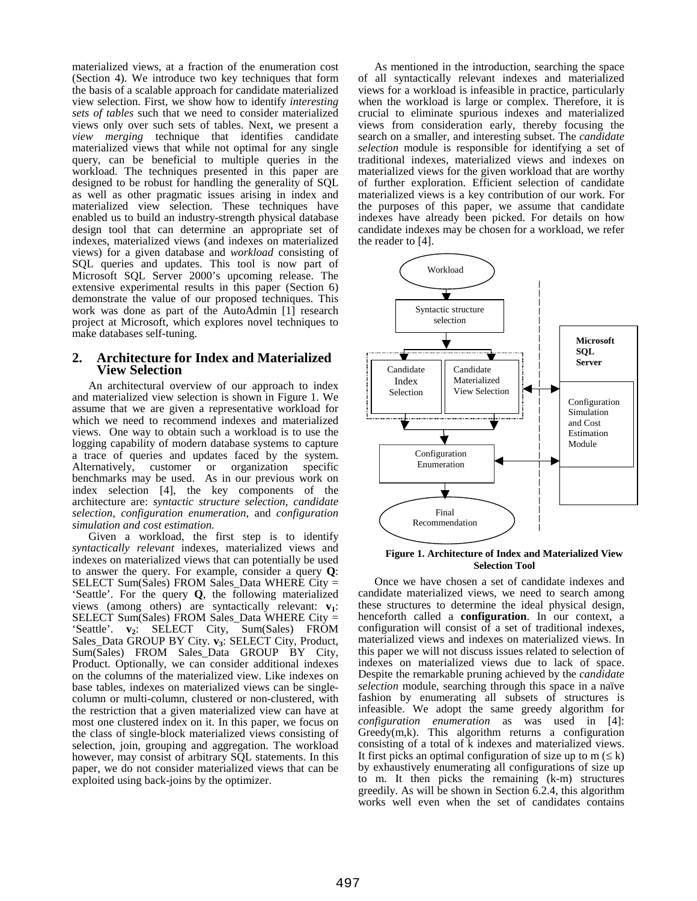materialized views, at a fraction of the enumeration cost (Section 4). We introduce two key techniques that form the basis of a scalable approach for candidate materialized view selection. First, we show how to identify *interesting sets of tables* such that we need to consider materialized views only over such sets of tables. Next, we present a *view merging* technique that identifies candidate materialized views that while not optimal for any single query, can be beneficial to multiple queries in the workload. The techniques presented in this paper are designed to be robust for handling the generality of SQL as well as other pragmatic issues arising in index and materialized view selection. These techniques have enabled us to build an industry-strength physical database design tool that can determine an appropriate set of indexes, materialized views (and indexes on materialized views) for a given database and *workload* consisting of SQL queries and updates. This tool is now part of Microsoft SQL Server 2000's upcoming release. The extensive experimental results in this paper (Section 6) demonstrate the value of our proposed techniques. This work was done as part of the AutoAdmin [1] research project at Microsoft, which explores novel techniques to make databases self-tuning.

#### **2. Architecture for Index and Materialized View Selection**

An architectural overview of our approach to index and materialized view selection is shown in Figure 1. We assume that we are given a representative workload for which we need to recommend indexes and materialized views. One way to obtain such a workload is to use the logging capability of modern database systems to capture a trace of queries and updates faced by the system. Alternatively, customer or organization specific benchmarks may be used. As in our previous work on index selection [4], the key components of the architecture are: *syntactic structure selection*, *candidate selection*, *configuration enumeration*, and *configuration simulation and cost estimation.*

Given a workload, the first step is to identify *syntactically relevant* indexes, materialized views and indexes on materialized views that can potentially be used to answer the query. For example, consider a query **Q**: SELECT Sum(Sales) FROM Sales\_Data WHERE City = 'Seattle'. For the query **Q**, the following materialized views (among others) are syntactically relevant:  $v_1$ : SELECT Sum(Sales) FROM Sales\_Data WHERE City = 'Seattle'. **v**<sub>2</sub>: SELECT City, Sum(Sales) FROM Sales\_Data GROUP BY City. **v<sub>3</sub>: SELECT City**, Product, Sum(Sales) FROM Sales\_Data GROUP BY City, Product. Optionally, we can consider additional indexes on the columns of the materialized view. Like indexes on base tables, indexes on materialized views can be singlecolumn or multi-column, clustered or non-clustered, with the restriction that a given materialized view can have at most one clustered index on it. In this paper, we focus on the class of single-block materialized views consisting of selection, join, grouping and aggregation. The workload however, may consist of arbitrary SQL statements. In this paper, we do not consider materialized views that can be exploited using back-joins by the optimizer.

As mentioned in the introduction, searching the space of all syntactically relevant indexes and materialized views for a workload is infeasible in practice, particularly when the workload is large or complex. Therefore, it is crucial to eliminate spurious indexes and materialized views from consideration early, thereby focusing the search on a smaller, and interesting subset. The *candidate selection* module is responsible for identifying a set of traditional indexes, materialized views and indexes on materialized views for the given workload that are worthy of further exploration. Efficient selection of candidate materialized views is a key contribution of our work. For the purposes of this paper, we assume that candidate indexes have already been picked. For details on how candidate indexes may be chosen for a workload, we refer the reader to [4].



#### **Figure 1. Architecture of Index and Materialized View Selection Tool**

Once we have chosen a set of candidate indexes and candidate materialized views, we need to search among these structures to determine the ideal physical design, henceforth called a **configuration**. In our context, a configuration will consist of a set of traditional indexes, materialized views and indexes on materialized views. In this paper we will not discuss issues related to selection of indexes on materialized views due to lack of space. Despite the remarkable pruning achieved by the *candidate selection* module, searching through this space in a naïve fashion by enumerating all subsets of structures is infeasible. We adopt the same greedy algorithm for *configuration enumeration* as was used in [4]: Greedy(m,k). This algorithm returns a configuration consisting of a total of k indexes and materialized views. It first picks an optimal configuration of size up to  $m \leq k$ ) by exhaustively enumerating all configurations of size up to m. It then picks the remaining (k-m) structures greedily. As will be shown in Section 6.2.4, this algorithm works well even when the set of candidates contains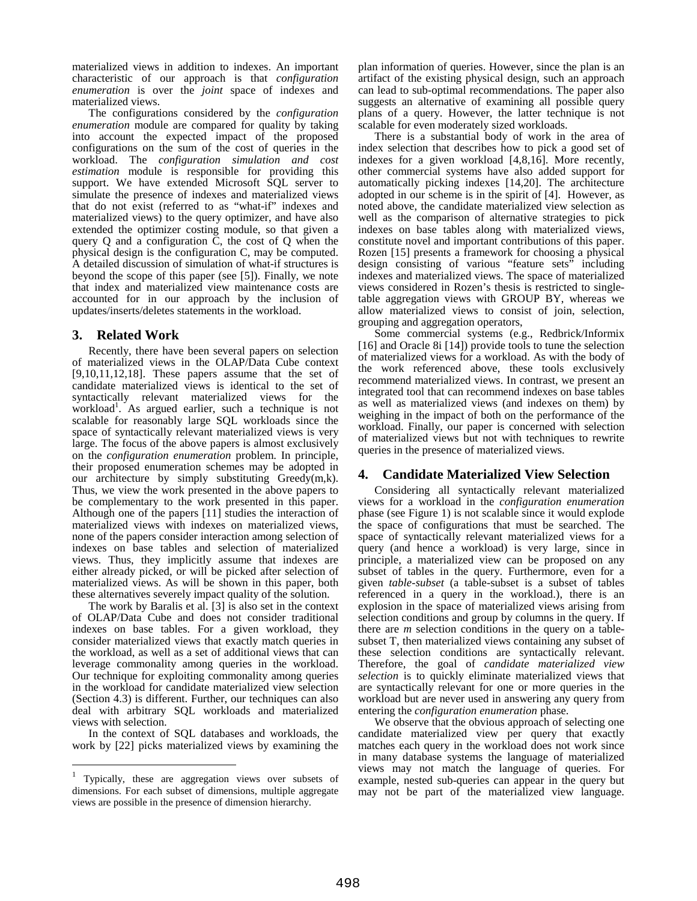materialized views in addition to indexes. An important characteristic of our approach is that *configuration enumeration* is over the *joint* space of indexes and materialized views.

The configurations considered by the *configuration enumeration* module are compared for quality by taking into account the expected impact of the proposed configurations on the sum of the cost of queries in the workload. The *configuration simulation and cost estimation* module is responsible for providing this support. We have extended Microsoft SQL server to simulate the presence of indexes and materialized views that do not exist (referred to as "what-if" indexes and materialized views) to the query optimizer, and have also extended the optimizer costing module, so that given a query Q and a configuration C, the cost of Q when the physical design is the configuration C, may be computed. A detailed discussion of simulation of what-if structures is beyond the scope of this paper (see [5]). Finally, we note that index and materialized view maintenance costs are accounted for in our approach by the inclusion of updates/inserts/deletes statements in the workload.

# **3. Related Work**

Recently, there have been several papers on selection of materialized views in the OLAP/Data Cube context  $[9,10,11,12,18]$ . These papers assume that the set of candidate materialized views is identical to the set of syntactically relevant materialized views for the workload<sup>1</sup>. As argued earlier, such a technique is not scalable for reasonably large SQL workloads since the space of syntactically relevant materialized views is very large. The focus of the above papers is almost exclusively on the *configuration enumeration* problem. In principle, their proposed enumeration schemes may be adopted in our architecture by simply substituting Greedy(m,k). Thus, we view the work presented in the above papers to be complementary to the work presented in this paper. Although one of the papers [11] studies the interaction of materialized views with indexes on materialized views, none of the papers consider interaction among selection of indexes on base tables and selection of materialized views. Thus, they implicitly assume that indexes are either already picked, or will be picked after selection of materialized views. As will be shown in this paper, both these alternatives severely impact quality of the solution.

The work by Baralis et al. [3] is also set in the context of OLAP/Data Cube and does not consider traditional indexes on base tables. For a given workload, they consider materialized views that exactly match queries in the workload, as well as a set of additional views that can leverage commonality among queries in the workload. Our technique for exploiting commonality among queries in the workload for candidate materialized view selection (Section 4.3) is different. Further, our techniques can also deal with arbitrary SQL workloads and materialized views with selection.

In the context of SQL databases and workloads, the work by [22] picks materialized views by examining the

<sup>1</sup> Typically, these are aggregation views over subsets of dimensions. For each subset of dimensions, multiple aggregate views are possible in the presence of dimension hierarchy.

 $\overline{a}$ 

plan information of queries. However, since the plan is an artifact of the existing physical design, such an approach can lead to sub-optimal recommendations. The paper also suggests an alternative of examining all possible query plans of a query. However, the latter technique is not scalable for even moderately sized workloads.

There is a substantial body of work in the area of index selection that describes how to pick a good set of indexes for a given workload [4,8,16]. More recently, other commercial systems have also added support for automatically picking indexes [14,20]. The architecture adopted in our scheme is in the spirit of [4]. However, as noted above, the candidate materialized view selection as well as the comparison of alternative strategies to pick indexes on base tables along with materialized views, constitute novel and important contributions of this paper. Rozen [15] presents a framework for choosing a physical design consisting of various "feature sets" including indexes and materialized views. The space of materialized views considered in Rozen's thesis is restricted to singletable aggregation views with GROUP BY, whereas we allow materialized views to consist of join, selection, grouping and aggregation operators,

Some commercial systems (e.g., Redbrick/Informix [16] and Oracle 8i [14]) provide tools to tune the selection of materialized views for a workload. As with the body of the work referenced above, these tools exclusively recommend materialized views. In contrast, we present an integrated tool that can recommend indexes on base tables as well as materialized views (and indexes on them) by weighing in the impact of both on the performance of the workload. Finally, our paper is concerned with selection of materialized views but not with techniques to rewrite queries in the presence of materialized views.

# **4. Candidate Materialized View Selection**

Considering all syntactically relevant materialized views for a workload in the *configuration enumeration* phase (see Figure 1) is not scalable since it would explode the space of configurations that must be searched. The space of syntactically relevant materialized views for a query (and hence a workload) is very large, since in principle, a materialized view can be proposed on any subset of tables in the query. Furthermore, even for a given *table-subset* (a table-subset is a subset of tables referenced in a query in the workload.), there is an explosion in the space of materialized views arising from selection conditions and group by columns in the query. If there are *m* selection conditions in the query on a tablesubset T, then materialized views containing any subset of these selection conditions are syntactically relevant. Therefore, the goal of *candidate materialized view selection* is to quickly eliminate materialized views that are syntactically relevant for one or more queries in the workload but are never used in answering any query from entering the *configuration enumeration* phase.

We observe that the obvious approach of selecting one candidate materialized view per query that exactly matches each query in the workload does not work since in many database systems the language of materialized views may not match the language of queries. For example, nested sub-queries can appear in the query but may not be part of the materialized view language.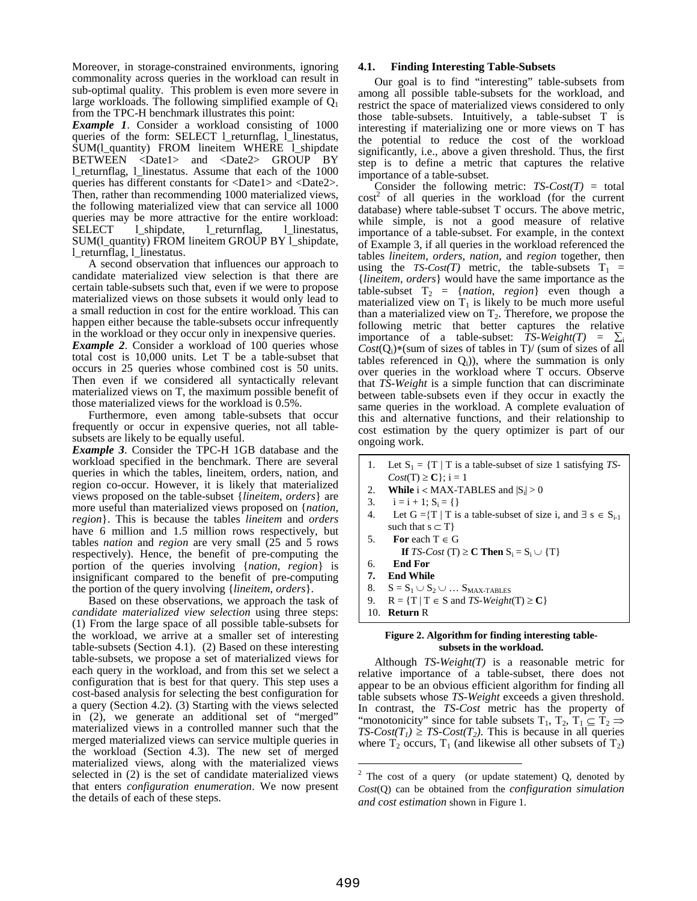Moreover, in storage-constrained environments, ignoring commonality across queries in the workload can result in sub-optimal quality. This problem is even more severe in large workloads. The following simplified example of  $Q_1$ from the TPC-H benchmark illustrates this point:

*Example 1*. Consider a workload consisting of 1000 queries of the form: SELECT l\_returnflag, l\_linestatus, SUM(l\_quantity) FROM lineitem WHERE l\_shipdate BETWEEN <Date1> and <Date2> GROUP BY l\_returnflag, l\_linestatus. Assume that each of the 1000 queries has different constants for <Date1> and <Date2>. Then, rather than recommending 1000 materialized views, the following materialized view that can service all 1000 queries may be more attractive for the entire workload: SELECT l\_shipdate, l\_returnflag, l\_linestatus, SUM(l\_quantity) FROM lineitem GROUP BY l\_shipdate, l\_returnflag, l\_linestatus.

A second observation that influences our approach to candidate materialized view selection is that there are certain table-subsets such that, even if we were to propose materialized views on those subsets it would only lead to a small reduction in cost for the entire workload. This can happen either because the table-subsets occur infrequently in the workload or they occur only in inexpensive queries. *Example 2.* Consider a workload of 100 queries whose total cost is 10,000 units. Let T be a table-subset that occurs in 25 queries whose combined cost is 50 units. Then even if we considered all syntactically relevant materialized views on T, the maximum possible benefit of those materialized views for the workload is 0.5%.

Furthermore, even among table-subsets that occur frequently or occur in expensive queries, not all tablesubsets are likely to be equally useful.

*Example 3*. Consider the TPC-H 1GB database and the workload specified in the benchmark. There are several queries in which the tables, lineitem, orders, nation, and region co-occur. However, it is likely that materialized views proposed on the table-subset {*lineitem*, *orders*} are more useful than materialized views proposed on {*nation*, *region*}. This is because the tables *lineitem* and *orders* have 6 million and 1.5 million rows respectively, but tables *nation* and *region* are very small (25 and 5 rows respectively). Hence, the benefit of pre-computing the portion of the queries involving {*nation*, *region*} is insignificant compared to the benefit of pre-computing the portion of the query involving {*lineitem*, *orders*}.

Based on these observations, we approach the task of *candidate materialized view selection* using three steps: (1) From the large space of all possible table-subsets for the workload, we arrive at a smaller set of interesting table-subsets (Section 4.1). (2) Based on these interesting table-subsets, we propose a set of materialized views for each query in the workload, and from this set we select a configuration that is best for that query. This step uses a cost-based analysis for selecting the best configuration for a query (Section 4.2). (3) Starting with the views selected in (2), we generate an additional set of "merged" materialized views in a controlled manner such that the merged materialized views can service multiple queries in the workload (Section 4.3). The new set of merged materialized views, along with the materialized views selected in (2) is the set of candidate materialized views that enters *configuration enumeration*. We now present the details of each of these steps.

#### **4.1. Finding Interesting Table-Subsets**

Our goal is to find "interesting" table-subsets from among all possible table-subsets for the workload, and restrict the space of materialized views considered to only those table-subsets. Intuitively, a table-subset T is interesting if materializing one or more views on T has the potential to reduce the cost of the workload significantly, i.e., above a given threshold. Thus, the first step is to define a metric that captures the relative importance of a table-subset.

Consider the following metric:  $TS\text{-}Cost(T) = \text{total}$  $cost<sup>2</sup>$  of all queries in the workload (for the current database) where table-subset T occurs. The above metric, while simple, is not a good measure of relative importance of a table-subset. For example, in the context of Example 3, if all queries in the workload referenced the tables *lineitem*, *orders*, *nation*, and *region* together, then using the  $TS\text{-}Cost(T)$  metric, the table-subsets  $T_1$  = {*lineitem*, *orders*} would have the same importance as the table-subset  $T_2$  = {*nation, region*} even though a materialized view on  $T_1$  is likely to be much more useful than a materialized view on  $T_2$ . Therefore, we propose the following metric that better captures the relative importance of a table-subset:  $TS-Weight(T) = \sum_i$  $Cost(Q<sub>i</sub>)*(sum of sizes of tables in T) / (sum of sizes of all$ tables referenced in  $Q_i$ ), where the summation is only over queries in the workload where T occurs. Observe that *TS-Weight* is a simple function that can discriminate between table-subsets even if they occur in exactly the same queries in the workload. A complete evaluation of this and alternative functions, and their relationship to cost estimation by the query optimizer is part of our ongoing work.

- 1. Let  $S_1 = \{T | T$  is a table-subset of size 1 satisfying *TS*- $Cost(T) \ge C$ ; i = 1
- 2. **While**  $i < MAX-TABLES$  and  $|S_i| > 0$
- 3.  $i = i + 1; S_i = \{\}$
- 4. Let  $G = \{T \mid T \text{ is a table-subset of size } i, \text{ and } \exists s \in S_{i-1}\}$ such that  $s \subset T$ }
- 5. **For** each  $T \in G$ **If** *TS-Cost* (T)  $\geq$  **C Then**  $S_i = S_i \cup \{T\}$
- 6. **End For**
- **7. End While**
- 8.  $S = S_1 \cup S_2 \cup ... S_{MAX-TABLES}$
- 9.  $R = \{T | T \in S \text{ and } TS-Weight(T) \ge C\}$
- 10. **Return** R

#### **Figure 2. Algorithm for finding interesting tablesubsets in the workload.**

Although *TS-Weight(T)* is a reasonable metric for relative importance of a table-subset, there does not appear to be an obvious efficient algorithm for finding all table subsets whose *TS-Weight* exceeds a given threshold. In contrast, the *TS-Cost* metric has the property of "monotonicity" since for table subsets  $T_1, T_2, T_1 \subseteq T_2 \Rightarrow$  $TS\text{-}Cost(T_1) \geq TS\text{-}Cost(T_2)$ . This is because in all queries where  $T_2$  occurs,  $T_1$  (and likewise all other subsets of  $T_2$ )

 $\overline{a}$ 

<sup>&</sup>lt;sup>2</sup> The cost of a query (or update statement)  $Q$ , denoted by *Cost*(Q) can be obtained from the *configuration simulation and cost estimation* shown in Figure 1.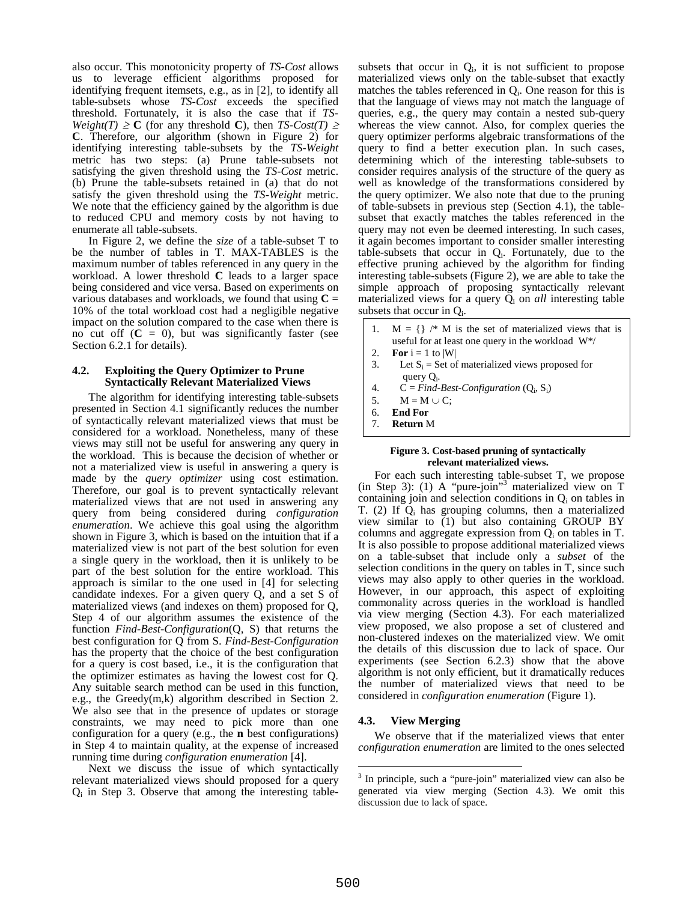also occur. This monotonicity property of *TS-Cost* allows us to leverage efficient algorithms proposed for identifying frequent itemsets, e.g., as in [2], to identify all table-subsets whose *TS-Cost* exceeds the specified threshold. Fortunately, it is also the case that if *TS-Weight(T)*  $\geq$  **C** (for any threshold **C**), then *TS-Cost(T)*  $\geq$ **C**. Therefore, our algorithm (shown in Figure 2) for identifying interesting table-subsets by the *TS-Weight* metric has two steps: (a) Prune table-subsets not satisfying the given threshold using the *TS-Cost* metric. (b) Prune the table-subsets retained in (a) that do not satisfy the given threshold using the *TS-Weight* metric. We note that the efficiency gained by the algorithm is due to reduced CPU and memory costs by not having to enumerate all table-subsets.

In Figure 2, we define the *size* of a table-subset T to be the number of tables in T. MAX-TABLES is the maximum number of tables referenced in any query in the workload. A lower threshold **C** leads to a larger space being considered and vice versa. Based on experiments on various databases and workloads, we found that using  $C =$ 10% of the total workload cost had a negligible negative impact on the solution compared to the case when there is no cut off  $(C = 0)$ , but was significantly faster (see Section 6.2.1 for details).

#### **4.2. Exploiting the Query Optimizer to Prune Syntactically Relevant Materialized Views**

The algorithm for identifying interesting table-subsets presented in Section 4.1 significantly reduces the number of syntactically relevant materialized views that must be considered for a workload. Nonetheless, many of these views may still not be useful for answering any query in the workload. This is because the decision of whether or not a materialized view is useful in answering a query is made by the *query optimizer* using cost estimation. Therefore, our goal is to prevent syntactically relevant materialized views that are not used in answering any query from being considered during *configuration enumeration*. We achieve this goal using the algorithm shown in Figure 3, which is based on the intuition that if a materialized view is not part of the best solution for even a single query in the workload, then it is unlikely to be part of the best solution for the entire workload. This approach is similar to the one used in [4] for selecting candidate indexes. For a given query Q, and a set S of materialized views (and indexes on them) proposed for Q, Step 4 of our algorithm assumes the existence of the function *Find-Best-Configuration*(Q, S) that returns the best configuration for Q from S. *Find-Best-Configuration* has the property that the choice of the best configuration for a query is cost based, i.e., it is the configuration that the optimizer estimates as having the lowest cost for Q. Any suitable search method can be used in this function, e.g., the Greedy(m,k) algorithm described in Section 2. We also see that in the presence of updates or storage constraints, we may need to pick more than one configuration for a query (e.g., the **n** best configurations) in Step 4 to maintain quality, at the expense of increased running time during *configuration enumeration* [4].

Next we discuss the issue of which syntactically relevant materialized views should proposed for a query  $Q_i$  in Step 3. Observe that among the interesting tablesubsets that occur in  $Q_i$ , it is not sufficient to propose materialized views only on the table-subset that exactly matches the tables referenced in  $Q_i$ . One reason for this is that the language of views may not match the language of queries, e.g., the query may contain a nested sub-query whereas the view cannot. Also, for complex queries the query optimizer performs algebraic transformations of the query to find a better execution plan. In such cases, determining which of the interesting table-subsets to consider requires analysis of the structure of the query as well as knowledge of the transformations considered by the query optimizer. We also note that due to the pruning of table-subsets in previous step (Section 4.1), the tablesubset that exactly matches the tables referenced in the query may not even be deemed interesting. In such cases, it again becomes important to consider smaller interesting table-subsets that occur in  $Q_i$ . Fortunately, due to the effective pruning achieved by the algorithm for finding interesting table-subsets (Figure 2), we are able to take the simple approach of proposing syntactically relevant materialized views for a query  $Q_i$  on *all* interesting table subsets that occur in  $Q_i$ .

- 1.  $M = \{\}\!/* M$  is the set of materialized views that is useful for at least one query in the workload W\*/
- 2. **For**  $i = 1$  to  $|W|$
- 3. Let  $S_i$  = Set of materialized views proposed for query Q<sub>i</sub>.
- 4.  $C = Find-Best-Configuration (Q_i, S_i)$
- 5.  $M = M \cup C$ ;
- 6. **End For**
- 7. **Return** M

#### **Figure 3. Cost-based pruning of syntactically relevant materialized views.**

For each such interesting table-subset T, we propose (in Step 3): (1) A "pure-join"<sup>3</sup> materialized view on T containing join and selection conditions in  $Q_i$  on tables in T.  $(2)$  If  $Q_i$  has grouping columns, then a materialized view similar to (1) but also containing GROUP BY columns and aggregate expression from  $Q_i$  on tables in T. It is also possible to propose additional materialized views on a table-subset that include only a *subset* of the selection conditions in the query on tables in T, since such views may also apply to other queries in the workload. However, in our approach, this aspect of exploiting commonality across queries in the workload is handled via view merging (Section 4.3). For each materialized view proposed, we also propose a set of clustered and non-clustered indexes on the materialized view. We omit the details of this discussion due to lack of space. Our experiments (see Section 6.2.3) show that the above algorithm is not only efficient, but it dramatically reduces the number of materialized views that need to be considered in *configuration enumeration* (Figure 1).

# **4.3. View Merging**

We observe that if the materialized views that enter *configuration enumeration* are limited to the ones selected

 $\overline{a}$ 

<sup>3</sup> In principle, such a "pure-join" materialized view can also be generated via view merging (Section 4.3). We omit this discussion due to lack of space.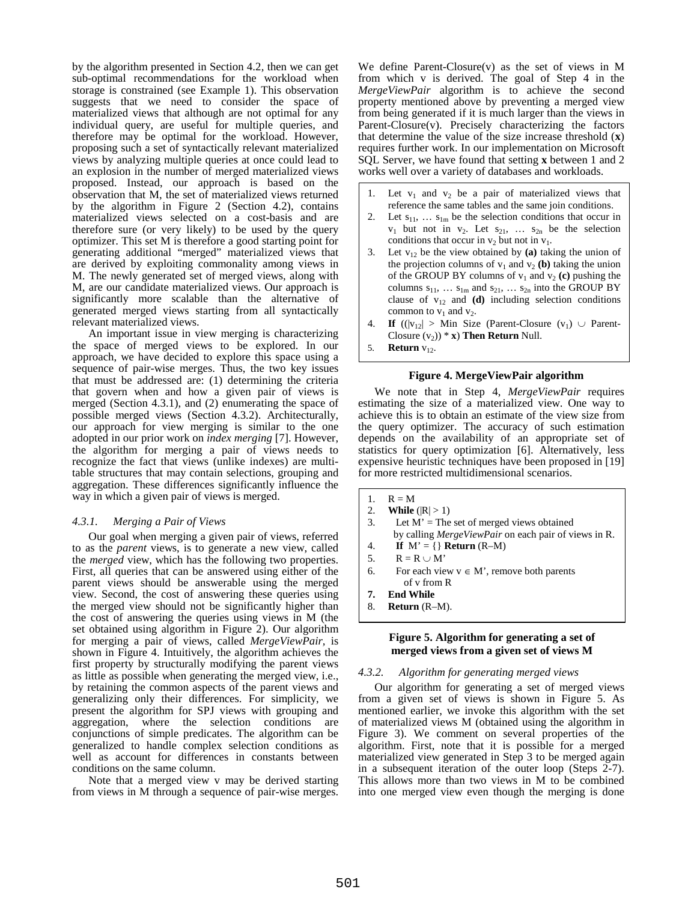by the algorithm presented in Section 4.2, then we can get sub-optimal recommendations for the workload when storage is constrained (see Example 1). This observation suggests that we need to consider the space of materialized views that although are not optimal for any individual query, are useful for multiple queries, and therefore may be optimal for the workload. However, proposing such a set of syntactically relevant materialized views by analyzing multiple queries at once could lead to an explosion in the number of merged materialized views proposed. Instead, our approach is based on the observation that M, the set of materialized views returned by the algorithm in Figure 2 (Section 4.2), contains materialized views selected on a cost-basis and are therefore sure (or very likely) to be used by the query optimizer. This set M is therefore a good starting point for generating additional "merged" materialized views that are derived by exploiting commonality among views in M. The newly generated set of merged views, along with M, are our candidate materialized views. Our approach is significantly more scalable than the alternative of generated merged views starting from all syntactically relevant materialized views.

An important issue in view merging is characterizing the space of merged views to be explored. In our approach, we have decided to explore this space using a sequence of pair-wise merges. Thus, the two key issues that must be addressed are: (1) determining the criteria that govern when and how a given pair of views is merged (Section 4.3.1), and (2) enumerating the space of possible merged views (Section 4.3.2). Architecturally, our approach for view merging is similar to the one adopted in our prior work on *index merging* [7]. However, the algorithm for merging a pair of views needs to recognize the fact that views (unlike indexes) are multitable structures that may contain selections, grouping and aggregation. These differences significantly influence the way in which a given pair of views is merged.

# *4.3.1. Merging a Pair of Views*

Our goal when merging a given pair of views, referred to as the *parent* views, is to generate a new view, called the *merged* view, which has the following two properties. First, all queries that can be answered using either of the parent views should be answerable using the merged view. Second, the cost of answering these queries using the merged view should not be significantly higher than the cost of answering the queries using views in M (the set obtained using algorithm in Figure 2). Our algorithm for merging a pair of views, called *MergeViewPair,* is shown in Figure 4. Intuitively, the algorithm achieves the first property by structurally modifying the parent views as little as possible when generating the merged view, i.e., by retaining the common aspects of the parent views and generalizing only their differences. For simplicity, we present the algorithm for SPJ views with grouping and aggregation, where the selection conditions are conjunctions of simple predicates. The algorithm can be generalized to handle complex selection conditions as well as account for differences in constants between conditions on the same column.

Note that a merged view v may be derived starting from views in M through a sequence of pair-wise merges. We define Parent-Closure(v) as the set of views in M from which v is derived. The goal of Step 4 in the *MergeViewPair* algorithm is to achieve the second property mentioned above by preventing a merged view from being generated if it is much larger than the views in Parent-Closure(v). Precisely characterizing the factors that determine the value of the size increase threshold (**x**) requires further work. In our implementation on Microsoft SQL Server, we have found that setting **x** between 1 and 2 works well over a variety of databases and workloads.

- 1. Let  $v_1$  and  $v_2$  be a pair of materialized views that reference the same tables and the same join conditions.
- 2. Let  $s_{11}$ , ...  $s_{1m}$  be the selection conditions that occur in  $v_1$  but not in  $v_2$ . Let  $s_{21}$ , ...  $s_{2n}$  be the selection conditions that occur in  $v_2$  but not in  $v_1$ .
- 3. Let  $v_{12}$  be the view obtained by (a) taking the union of the projection columns of  $v_1$  and  $v_2$  (b) taking the union of the GROUP BY columns of  $v_1$  and  $v_2$  (c) pushing the columns  $s_{11}$ , ...  $s_{1m}$  and  $s_{21}$ , ...  $s_{2n}$  into the GROUP BY clause of  $v_{12}$  and **(d)** including selection conditions common to  $v_1$  and  $v_2$ .
- 4. **If**  $(|v_{12}| >$  Min Size (Parent-Closure  $(v_1) \cup$  Parent-Closure  $(v_2)$ <sup>\*</sup> **x**) **Then Return** Null.
- 5. **Return**  $v_1$ .

# **Figure 4. MergeViewPair algorithm**

We note that in Step 4, *MergeViewPair* requires estimating the size of a materialized view. One way to achieve this is to obtain an estimate of the view size from the query optimizer. The accuracy of such estimation depends on the availability of an appropriate set of statistics for query optimization [6]. Alternatively, less expensive heuristic techniques have been proposed in [19] for more restricted multidimensional scenarios.

- 1.  $R = M$
- 2. **While**  $(|R| > 1)$
- 3. Let  $M' =$ The set of merged views obtained by calling *MergeViewPair* on each pair of views in R.
- 4. **If**  $M' = \{\}\$ **Return** (R–M)
- 5.  $R = R \cup M'$
- 6. For each view  $v \in M'$ , remove both parents of v from R
- **7. End While**
- 8. **Return** (R–M).

# **Figure 5. Algorithm for generating a set of merged views from a given set of views M**

#### *4.3.2. Algorithm for generating merged views*

Our algorithm for generating a set of merged views from a given set of views is shown in Figure 5. As mentioned earlier, we invoke this algorithm with the set of materialized views M (obtained using the algorithm in Figure 3). We comment on several properties of the algorithm. First, note that it is possible for a merged materialized view generated in Step 3 to be merged again in a subsequent iteration of the outer loop (Steps 2-7). This allows more than two views in M to be combined into one merged view even though the merging is done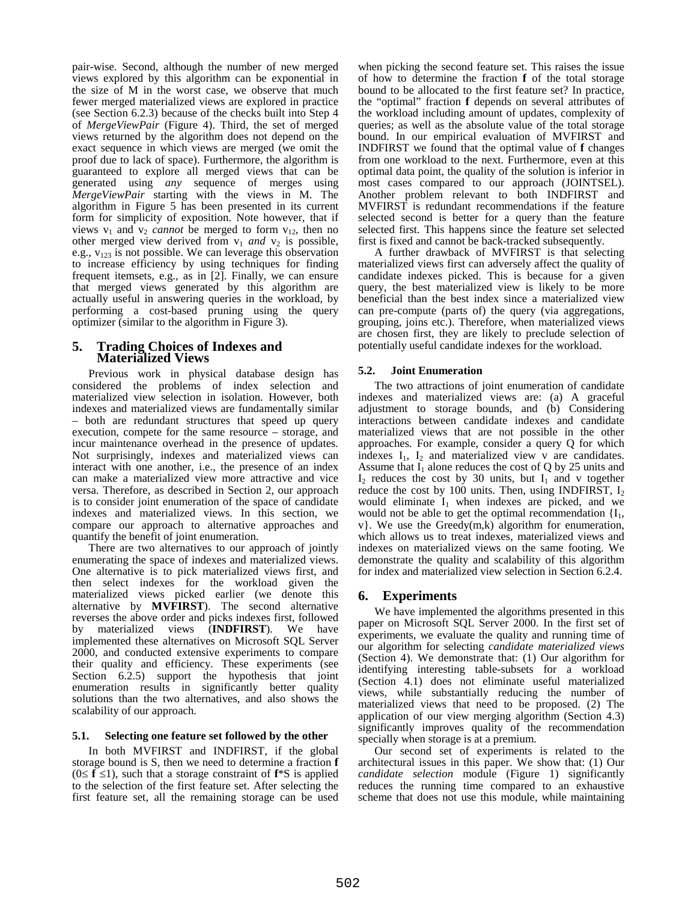pair-wise. Second, although the number of new merged views explored by this algorithm can be exponential in the size of M in the worst case, we observe that much fewer merged materialized views are explored in practice (see Section 6.2.3) because of the checks built into Step 4 of *MergeViewPair* (Figure 4). Third, the set of merged views returned by the algorithm does not depend on the exact sequence in which views are merged (we omit the proof due to lack of space). Furthermore, the algorithm is guaranteed to explore all merged views that can be generated using *any* sequence of merges using *MergeViewPair* starting with the views in M. The algorithm in Figure 5 has been presented in its current form for simplicity of exposition. Note however, that if views  $v_1$  and  $v_2$  *cannot* be merged to form  $v_{12}$ , then no other merged view derived from  $v_1$  *and*  $v_2$  is possible, e.g.,  $v_{123}$  is not possible. We can leverage this observation to increase efficiency by using techniques for finding frequent itemsets, e.g., as in [2]. Finally, we can ensure that merged views generated by this algorithm are actually useful in answering queries in the workload, by performing a cost-based pruning using the query optimizer (similar to the algorithm in Figure 3).

# **5. Trading Choices of Indexes and Materialized Views**

Previous work in physical database design has considered the problems of index selection and materialized view selection in isolation. However, both indexes and materialized views are fundamentally similar – both are redundant structures that speed up query execution, compete for the same resource – storage, and incur maintenance overhead in the presence of updates. Not surprisingly, indexes and materialized views can interact with one another, i.e., the presence of an index can make a materialized view more attractive and vice versa. Therefore, as described in Section 2, our approach is to consider joint enumeration of the space of candidate indexes and materialized views. In this section, we compare our approach to alternative approaches and quantify the benefit of joint enumeration.

There are two alternatives to our approach of jointly enumerating the space of indexes and materialized views. One alternative is to pick materialized views first, and then select indexes for the workload given the materialized views picked earlier (we denote this alternative by **MVFIRST**). The second alternative reverses the above order and picks indexes first, followed by materialized views (**INDFIRST**). We have implemented these alternatives on Microsoft SQL Server 2000, and conducted extensive experiments to compare their quality and efficiency. These experiments (see Section 6.2.5) support the hypothesis that joint enumeration results in significantly better quality solutions than the two alternatives, and also shows the scalability of our approach.

# **5.1. Selecting one feature set followed by the other**

In both MVFIRST and INDFIRST, if the global storage bound is S, then we need to determine a fraction **f**  $(0 \leq f \leq 1)$ , such that a storage constraint of  $f * S$  is applied to the selection of the first feature set. After selecting the first feature set, all the remaining storage can be used

when picking the second feature set. This raises the issue of how to determine the fraction **f** of the total storage bound to be allocated to the first feature set? In practice, the "optimal" fraction **f** depends on several attributes of the workload including amount of updates, complexity of queries; as well as the absolute value of the total storage bound. In our empirical evaluation of MVFIRST and INDFIRST we found that the optimal value of **f** changes from one workload to the next. Furthermore, even at this optimal data point, the quality of the solution is inferior in most cases compared to our approach (JOINTSEL). Another problem relevant to both INDFIRST and MVFIRST is redundant recommendations if the feature selected second is better for a query than the feature selected first. This happens since the feature set selected first is fixed and cannot be back-tracked subsequently.

A further drawback of MVFIRST is that selecting materialized views first can adversely affect the quality of candidate indexes picked. This is because for a given query, the best materialized view is likely to be more beneficial than the best index since a materialized view can pre-compute (parts of) the query (via aggregations, grouping, joins etc.). Therefore, when materialized views are chosen first, they are likely to preclude selection of potentially useful candidate indexes for the workload.

# **5.2. Joint Enumeration**

The two attractions of joint enumeration of candidate indexes and materialized views are: (a) A graceful adjustment to storage bounds, and (b) Considering interactions between candidate indexes and candidate materialized views that are not possible in the other approaches. For example, consider a query Q for which indexes  $I_1$ ,  $I_2$  and materialized view v are candidates. Assume that  $I_1$  alone reduces the cost of Q by 25 units and  $I_2$  reduces the cost by 30 units, but  $I_1$  and v together reduce the cost by 100 units. Then, using INDFIRST,  $I_2$ would eliminate  $I_1$  when indexes are picked, and we would not be able to get the optimal recommendation  ${I_1, \ldots, I_n}$ v}. We use the Greedy(m,k) algorithm for enumeration, which allows us to treat indexes, materialized views and indexes on materialized views on the same footing. We demonstrate the quality and scalability of this algorithm for index and materialized view selection in Section 6.2.4.

# **6. Experiments**

We have implemented the algorithms presented in this paper on Microsoft SQL Server 2000. In the first set of experiments, we evaluate the quality and running time of our algorithm for selecting *candidate materialized views* (Section 4). We demonstrate that: (1) Our algorithm for identifying interesting table-subsets for a workload (Section 4.1) does not eliminate useful materialized views, while substantially reducing the number of materialized views that need to be proposed. (2) The application of our view merging algorithm (Section 4.3) significantly improves quality of the recommendation specially when storage is at a premium.

Our second set of experiments is related to the architectural issues in this paper. We show that: (1) Our *candidate selection* module (Figure 1) significantly reduces the running time compared to an exhaustive scheme that does not use this module, while maintaining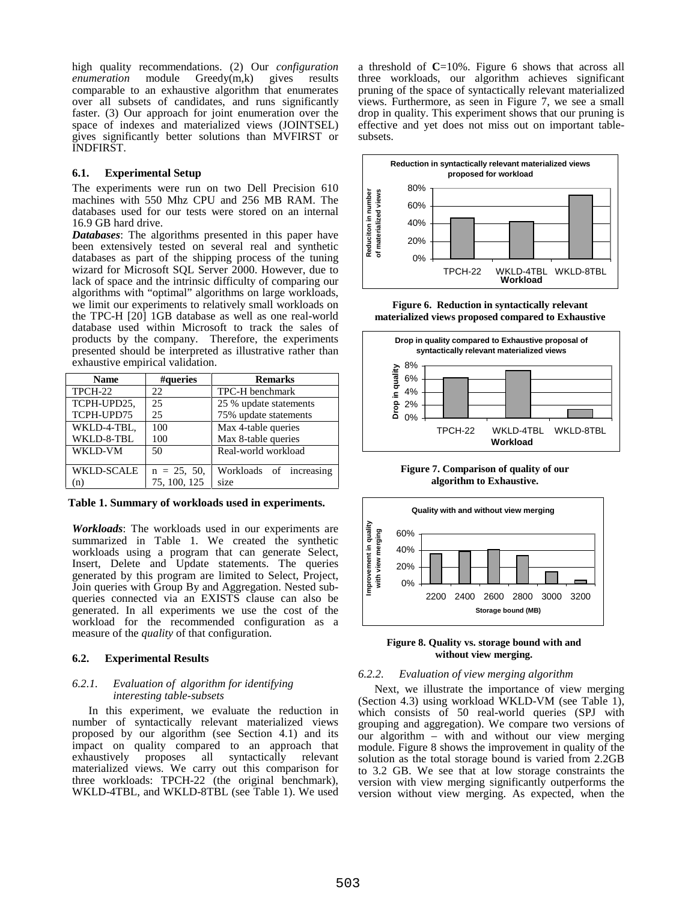high quality recommendations. (2) Our *configuration*  module Greedy(m,k) gives results comparable to an exhaustive algorithm that enumerates over all subsets of candidates, and runs significantly faster. (3) Our approach for joint enumeration over the space of indexes and materialized views (JOINTSEL) gives significantly better solutions than MVFIRST or INDFIRST.

#### **6.1. Experimental Setup**

The experiments were run on two Dell Precision 610 machines with 550 Mhz CPU and 256 MB RAM. The databases used for our tests were stored on an internal 16.9 GB hard drive.

*Databases*: The algorithms presented in this paper have been extensively tested on several real and synthetic databases as part of the shipping process of the tuning wizard for Microsoft SQL Server 2000. However, due to lack of space and the intrinsic difficulty of comparing our algorithms with "optimal" algorithms on large workloads, we limit our experiments to relatively small workloads on the TPC-H [20] 1GB database as well as one real-world database used within Microsoft to track the sales of products by the company. Therefore, the experiments presented should be interpreted as illustrative rather than exhaustive empirical validation.

| <b>Name</b>       | #queries      | <b>Remarks</b>          |  |
|-------------------|---------------|-------------------------|--|
| TPCH-22           | 22            | TPC-H benchmark         |  |
| TCPH-UPD25,       | 25            | 25 % update statements  |  |
| TCPH-UPD75        | 25            | 75% update statements   |  |
| WKLD-4-TBL,       | 100           | Max 4-table queries     |  |
| WKLD-8-TBL        | 100           | Max 8-table queries     |  |
| WKLD-VM           | 50            | Real-world workload     |  |
| <b>WKLD-SCALE</b> | $n = 25, 50,$ | Workloads of increasing |  |
| (n)               | 75, 100, 125  | size                    |  |

**Table 1. Summary of workloads used in experiments.** 

*Workloads*: The workloads used in our experiments are summarized in Table 1. We created the synthetic workloads using a program that can generate Select, Insert, Delete and Update statements. The queries generated by this program are limited to Select, Project, Join queries with Group By and Aggregation. Nested subqueries connected via an EXISTS clause can also be generated. In all experiments we use the cost of the workload for the recommended configuration as a measure of the *quality* of that configuration.

# **6.2. Experimental Results**

#### *6.2.1. Evaluation of algorithm for identifying interesting table-subsets*

In this experiment, we evaluate the reduction in number of syntactically relevant materialized views proposed by our algorithm (see Section 4.1) and its impact on quality compared to an approach that exhaustively proposes all syntactically relevant exhaustively proposes all syntactically relevant materialized views. We carry out this comparison for three workloads: TPCH-22 (the original benchmark), WKLD-4TBL, and WKLD-8TBL (see Table 1). We used

a threshold of **C**=10%. Figure 6 shows that across all three workloads, our algorithm achieves significant pruning of the space of syntactically relevant materialized views. Furthermore, as seen in Figure 7, we see a small drop in quality. This experiment shows that our pruning is effective and yet does not miss out on important tablesubsets.



**Figure 6. Reduction in syntactically relevant materialized views proposed compared to Exhaustive** 



**Figure 7. Comparison of quality of our algorithm to Exhaustive.** 



**Figure 8. Quality vs. storage bound with and without view merging.** 

# *6.2.2. Evaluation of view merging algorithm*

Next, we illustrate the importance of view merging (Section 4.3) using workload WKLD-VM (see Table 1), which consists of 50 real-world queries (SPJ with grouping and aggregation). We compare two versions of our algorithm – with and without our view merging module. Figure 8 shows the improvement in quality of the solution as the total storage bound is varied from 2.2GB to 3.2 GB. We see that at low storage constraints the version with view merging significantly outperforms the version without view merging. As expected, when the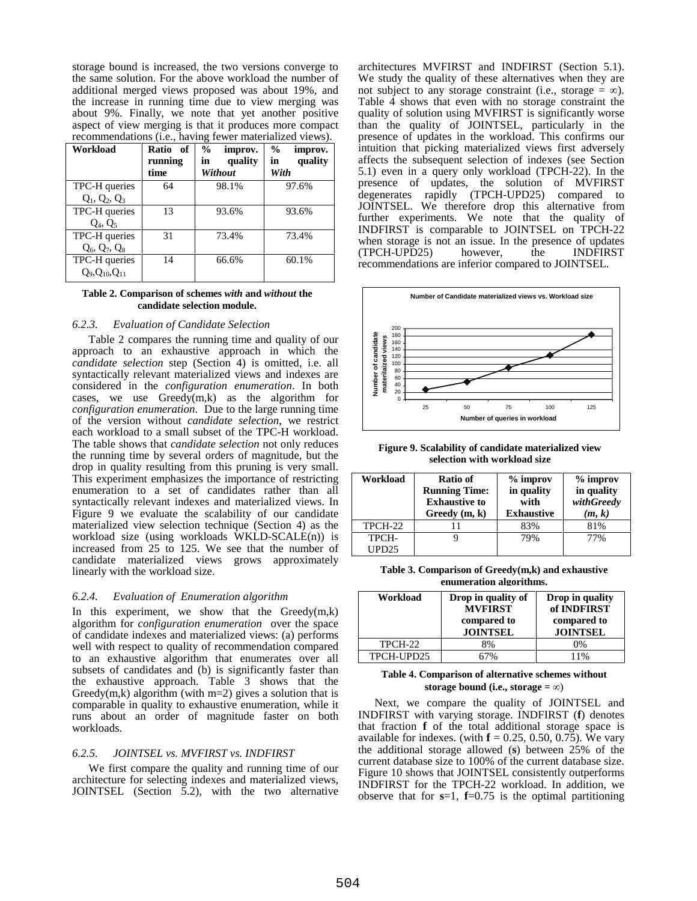storage bound is increased, the two versions converge to the same solution. For the above workload the number of additional merged views proposed was about 19%, and the increase in running time due to view merging was about 9%. Finally, we note that yet another positive aspect of view merging is that it produces more compact recommendations (i.e., having fewer materialized views).

| Workload              | Ratio of<br>running<br>time | $\%$<br>improv.<br>quality<br>in<br>Without | $\frac{6}{9}$<br>improv.<br>quality<br>in<br>With |
|-----------------------|-----------------------------|---------------------------------------------|---------------------------------------------------|
| TPC-H queries         | 64                          | 98.1%                                       | 97.6%                                             |
| $Q_1, Q_2, Q_3$       |                             |                                             |                                                   |
| TPC-H queries         | 13                          | 93.6%                                       | 93.6%                                             |
| $Q_4$ , $Q_5$         |                             |                                             |                                                   |
| TPC-H queries         | 31                          | 73.4%                                       | 73.4%                                             |
| $Q_6, Q_7, Q_8$       |                             |                                             |                                                   |
| TPC-H queries         | 14                          | 66.6%                                       | 60.1%                                             |
| $Q_9, Q_{10}, Q_{11}$ |                             |                                             |                                                   |

**Table 2. Comparison of schemes** *with* **and** *without* **the candidate selection module.** 

# *6.2.3. Evaluation of Candidate Selection*

Table 2 compares the running time and quality of our approach to an exhaustive approach in which the *candidate selection* step (Section 4) is omitted, i.e. all syntactically relevant materialized views and indexes are considered in the *configuration enumeration*. In both cases, we use Greedy(m,k) as the algorithm for *configuration enumeration*. Due to the large running time of the version without *candidate selection*, we restrict each workload to a small subset of the TPC-H workload. The table shows that *candidate selection* not only reduces the running time by several orders of magnitude, but the drop in quality resulting from this pruning is very small. This experiment emphasizes the importance of restricting enumeration to a set of candidates rather than all syntactically relevant indexes and materialized views. In Figure 9 we evaluate the scalability of our candidate materialized view selection technique (Section 4) as the workload size (using workloads WKLD-SCALE(n)) is increased from 25 to 125. We see that the number of candidate materialized views grows approximately linearly with the workload size.

#### *6.2.4. Evaluation of Enumeration algorithm*

In this experiment, we show that the  $Greedy(m,k)$ algorithm for *configuration enumeration* over the space of candidate indexes and materialized views: (a) performs well with respect to quality of recommendation compared to an exhaustive algorithm that enumerates over all subsets of candidates and (b) is significantly faster than the exhaustive approach. Table 3 shows that the Greedy(m,k) algorithm (with  $m=2$ ) gives a solution that is comparable in quality to exhaustive enumeration, while it runs about an order of magnitude faster on both workloads.

#### *6.2.5. JOINTSEL vs. MVFIRST vs. INDFIRST*

We first compare the quality and running time of our architecture for selecting indexes and materialized views, JOINTSEL (Section 5.2), with the two alternative

architectures MVFIRST and INDFIRST (Section 5.1). We study the quality of these alternatives when they are not subject to any storage constraint (i.e., storage  $=\infty$ ). Table 4 shows that even with no storage constraint the quality of solution using MVFIRST is significantly worse than the quality of JOINTSEL, particularly in the presence of updates in the workload. This confirms our intuition that picking materialized views first adversely affects the subsequent selection of indexes (see Section 5.1) even in a query only workload (TPCH-22). In the presence of updates, the solution of MVFIRST degenerates rapidly (TPCH-UPD25) compared to JOINTSEL. We therefore drop this alternative from further experiments. We note that the quality of INDFIRST is comparable to JOINTSEL on TPCH-22 when storage is not an issue. In the presence of updates (TPCH-UPD25) however, the INDFIRST recommendations are inferior compared to JOINTSEL.



**Figure 9. Scalability of candidate materialized view selection with workload size** 

| Workload | Ratio of<br><b>Running Time:</b><br><b>Exhaustive to</b><br>Greedy(m, k) | $%$ improv<br>in quality<br>with<br><b>Exhaustive</b> | $%$ improv<br>in quality<br>withGreedy<br>(m, k) |
|----------|--------------------------------------------------------------------------|-------------------------------------------------------|--------------------------------------------------|
| TPCH-22  |                                                                          | 83%                                                   | 81%                                              |
| TPCH-    |                                                                          | 79%                                                   | 77%                                              |
| UPD25    |                                                                          |                                                       |                                                  |

**Table 3. Comparison of Greedy(m,k) and exhaustive enumeration algorithms.**

| Workload   | Drop in quality of<br><b>MVFIRST</b><br>compared to<br><b>JOINTSEL</b> | Drop in quality<br>of INDFIRST<br>compared to<br><b>JOINTSEL</b> |
|------------|------------------------------------------------------------------------|------------------------------------------------------------------|
| TPCH-22    | 8%                                                                     | 0%                                                               |
| TPCH-UPD25 | 7%                                                                     | 11%                                                              |

#### **Table 4. Comparison of alternative schemes without storage bound (i.e., storage =**  $\infty$ **)**

Next, we compare the quality of JOINTSEL and INDFIRST with varying storage. INDFIRST (**f**) denotes that fraction **f** of the total additional storage space is available for indexes. (with  $f = 0.25, 0.50, 0.75$ ). We vary the additional storage allowed (**s**) between 25% of the current database size to 100% of the current database size. Figure 10 shows that JOINTSEL consistently outperforms INDFIRST for the TPCH-22 workload. In addition, we observe that for  $s=1$ ,  $f=0.75$  is the optimal partitioning